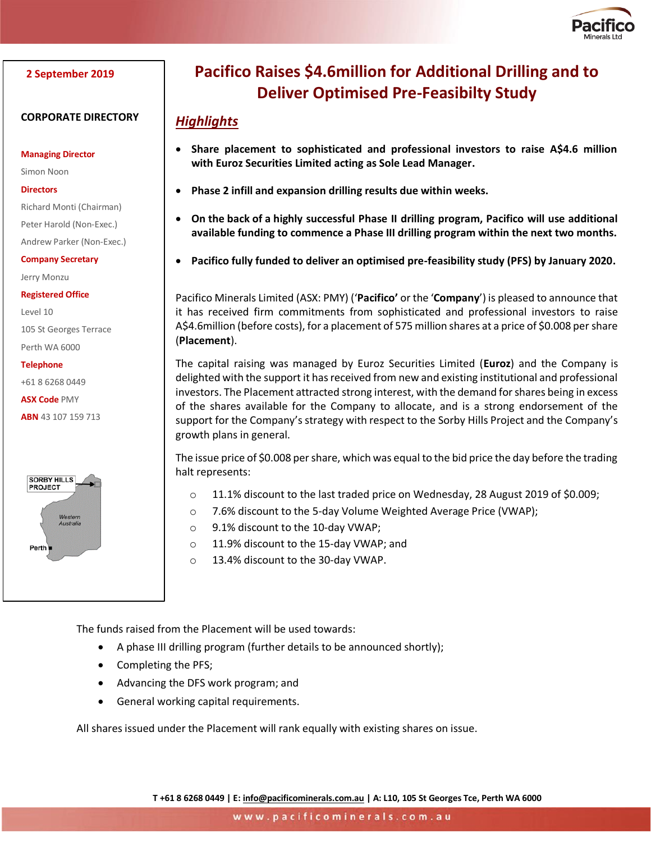

## **2 September 2019**

## **CORPORATE DIRECTORY**

**Managing Director**

Simon Noon

### **Directors**

Richard Monti (Chairman)

Peter Harold (Non-Exec.)

Andrew Parker (Non-Exec.)

**Company Secretary**

Jerry Monzu

**Registered Office**

Level 10 105 St Georges Terrace

Perth WA 6000

#### **Telephone**

+61 8 6268 0449

### **ASX Code** PMY

**ABN** 43 107 159 713



# **Pacifico Raises \$4.6million for Additional Drilling and to Deliver Optimised Pre-Feasibilty Study**

## *Highlights*

- **Share placement to sophisticated and professional investors to raise A\$4.6 million with Euroz Securities Limited acting as Sole Lead Manager.**
- **Phase 2 infill and expansion drilling results due within weeks.**
- **On the back of a highly successful Phase II drilling program, Pacifico will use additional available funding to commence a Phase III drilling program within the next two months.**
- **Pacifico fully funded to deliver an optimised pre-feasibility study (PFS) by January 2020.**

Pacifico Minerals Limited (ASX: PMY) ('**Pacifico'** or the '**Company**') is pleased to announce that it has received firm commitments from sophisticated and professional investors to raise A\$4.6million (before costs), for a placement of 575 million shares at a price of \$0.008 per share (**Placement**).

The capital raising was managed by Euroz Securities Limited (**Euroz**) and the Company is delighted with the support it has received from new and existing institutional and professional investors. The Placement attracted strong interest, with the demand for shares being in excess of the shares available for the Company to allocate, and is a strong endorsement of the support for the Company's strategy with respect to the Sorby Hills Project and the Company's growth plans in general.

The issue price of \$0.008 per share, which was equal to the bid price the day before the trading halt represents:

- o 11.1% discount to the last traded price on Wednesday, 28 August 2019 of \$0.009;
- o 7.6% discount to the 5-day Volume Weighted Average Price (VWAP);
- o 9.1% discount to the 10-day VWAP;
- o 11.9% discount to the 15-day VWAP; and
- o 13.4% discount to the 30-day VWAP.

The funds raised from the Placement will be used towards:

- A phase III drilling program (further details to be announced shortly);
- Completing the PFS;
- Advancing the DFS work program; and
- General working capital requirements.

All shares issued under the Placement will rank equally with existing shares on issue.

**T +61 8 6268 0449 | E[: info@pacificominerals.com.au](mailto:info@pacificominerals.com.au) | A: L10, 105 St Georges Tce, Perth WA 6000**